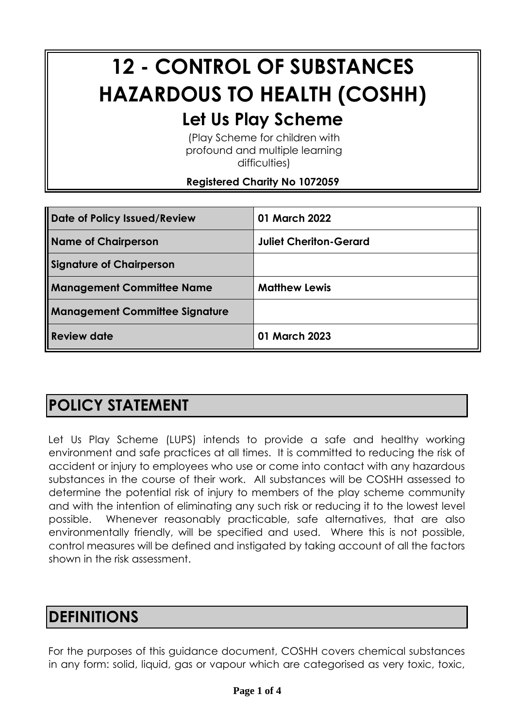# **12 - CONTROL OF SUBSTANCES HAZARDOUS TO HEALTH (COSHH) Let Us Play Scheme**

(Play Scheme for children with profound and multiple learning

difficulties)

#### **Registered Charity No 1072059**

| Date of Policy Issued/Review   | 01 March 2022                 |
|--------------------------------|-------------------------------|
| Name of Chairperson            | <b>Juliet Cheriton-Gerard</b> |
| Signature of Chairperson       |                               |
| Management Committee Name      | <b>Matthew Lewis</b>          |
| Management Committee Signature |                               |
| Review date                    | 01 March 2023                 |

# **POLICY STATEMENT**

Let Us Play Scheme (LUPS) intends to provide a safe and healthy working environment and safe practices at all times. It is committed to reducing the risk of accident or injury to employees who use or come into contact with any hazardous substances in the course of their work. All substances will be COSHH assessed to determine the potential risk of injury to members of the play scheme community and with the intention of eliminating any such risk or reducing it to the lowest level possible. Whenever reasonably practicable, safe alternatives, that are also environmentally friendly, will be specified and used. Where this is not possible, control measures will be defined and instigated by taking account of all the factors shown in the risk assessment.

#### **DEFINITIONS**

For the purposes of this guidance document, COSHH covers chemical substances in any form: solid, liquid, gas or vapour which are categorised as very toxic, toxic,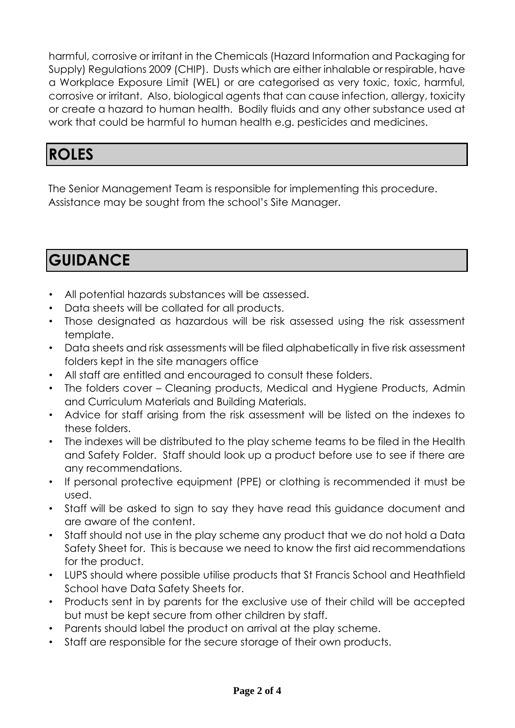harmful, corrosive or irritant in the Chemicals (Hazard Information and Packaging for Supply) Regulations 2009 (CHIP). Dusts which are either inhalable or respirable, have a Workplace Exposure Limit (WEL) or are categorised as very toxic, toxic, harmful, corrosive or irritant. Also, biological agents that can cause infection, allergy, toxicity or create a hazard to human health. Bodily fluids and any other substance used at work that could be harmful to human health e.g. pesticides and medicines.

# **ROLES**

The Senior Management Team is responsible for implementing this procedure. Assistance may be sought from the school's Site Manager.

# **GUIDANCE**

- All potential hazards substances will be assessed.
- Data sheets will be collated for all products.
- Those designated as hazardous will be risk assessed using the risk assessment template.
- Data sheets and risk assessments will be filed alphabetically in five risk assessment folders kept in the site managers office
- All staff are entitled and encouraged to consult these folders.
- The folders cover Cleaning products, Medical and Hygiene Products, Admin and Curriculum Materials and Building Materials.
- Advice for staff arising from the risk assessment will be listed on the indexes to these folders.
- The indexes will be distributed to the play scheme teams to be filed in the Health and Safety Folder. Staff should look up a product before use to see if there are any recommendations.
- If personal protective equipment (PPE) or clothing is recommended it must be used.
- Staff will be asked to sign to say they have read this guidance document and are aware of the content.
- Staff should not use in the play scheme any product that we do not hold a Data Safety Sheet for. This is because we need to know the first aid recommendations for the product.
- LUPS should where possible utilise products that St Francis School and Heathfield School have Data Safety Sheets for.
- Products sent in by parents for the exclusive use of their child will be accepted but must be kept secure from other children by staff.
- Parents should label the product on arrival at the play scheme.
- Staff are responsible for the secure storage of their own products.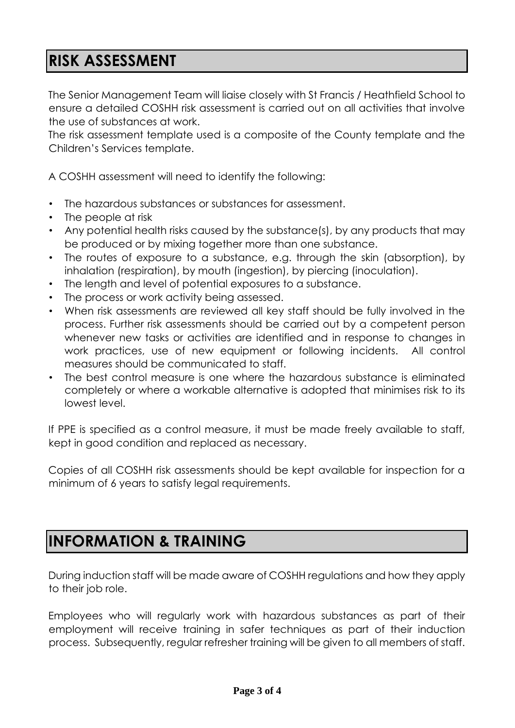### **RISK ASSESSMENT**

The Senior Management Team will liaise closely with St Francis / Heathfield School to ensure a detailed COSHH risk assessment is carried out on all activities that involve the use of substances at work.

The risk assessment template used is a composite of the County template and the Children's Services template.

A COSHH assessment will need to identify the following:

- The hazardous substances or substances for assessment.
- The people at risk
- Any potential health risks caused by the substance(s), by any products that may be produced or by mixing together more than one substance.
- The routes of exposure to a substance, e.g. through the skin (absorption), by inhalation (respiration), by mouth (ingestion), by piercing (inoculation).
- The length and level of potential exposures to a substance.
- The process or work activity being assessed.
- When risk assessments are reviewed all key staff should be fully involved in the process. Further risk assessments should be carried out by a competent person whenever new tasks or activities are identified and in response to changes in work practices, use of new equipment or following incidents. All control measures should be communicated to staff.
- The best control measure is one where the hazardous substance is eliminated completely or where a workable alternative is adopted that minimises risk to its lowest level.

If PPE is specified as a control measure, it must be made freely available to staff, kept in good condition and replaced as necessary.

Copies of all COSHH risk assessments should be kept available for inspection for a minimum of 6 years to satisfy legal requirements.

#### **INFORMATION & TRAINING**

During induction staff will be made aware of COSHH regulations and how they apply to their job role.

Employees who will regularly work with hazardous substances as part of their employment will receive training in safer techniques as part of their induction process. Subsequently, regular refresher training will be given to all members of staff.